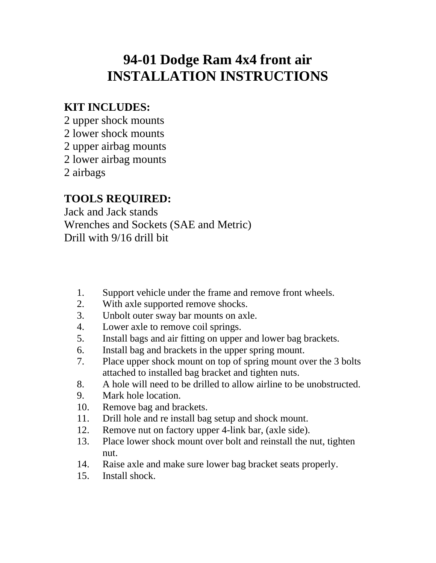## **94-01 Dodge Ram 4x4 front air INSTALLATION INSTRUCTIONS**

#### **KIT INCLUDES:**

2 upper shock mounts

- 2 lower shock mounts
- 2 upper airbag mounts

2 lower airbag mounts

2 airbags

#### **TOOLS REQUIRED:**

Jack and Jack stands Wrenches and Sockets (SAE and Metric) Drill with 9/16 drill bit

- 1. Support vehicle under the frame and remove front wheels.
- 2. With axle supported remove shocks.
- 3. Unbolt outer sway bar mounts on axle.
- 4. Lower axle to remove coil springs.
- 5. Install bags and air fitting on upper and lower bag brackets.
- 6. Install bag and brackets in the upper spring mount.
- 7. Place upper shock mount on top of spring mount over the 3 bolts attached to installed bag bracket and tighten nuts.
- 8. A hole will need to be drilled to allow airline to be unobstructed.
- 9. Mark hole location.
- 10. Remove bag and brackets.
- 11. Drill hole and re install bag setup and shock mount.
- 12. Remove nut on factory upper 4-link bar, (axle side).
- 13. Place lower shock mount over bolt and reinstall the nut, tighten nut.
- 14. Raise axle and make sure lower bag bracket seats properly.
- 15. Install shock.